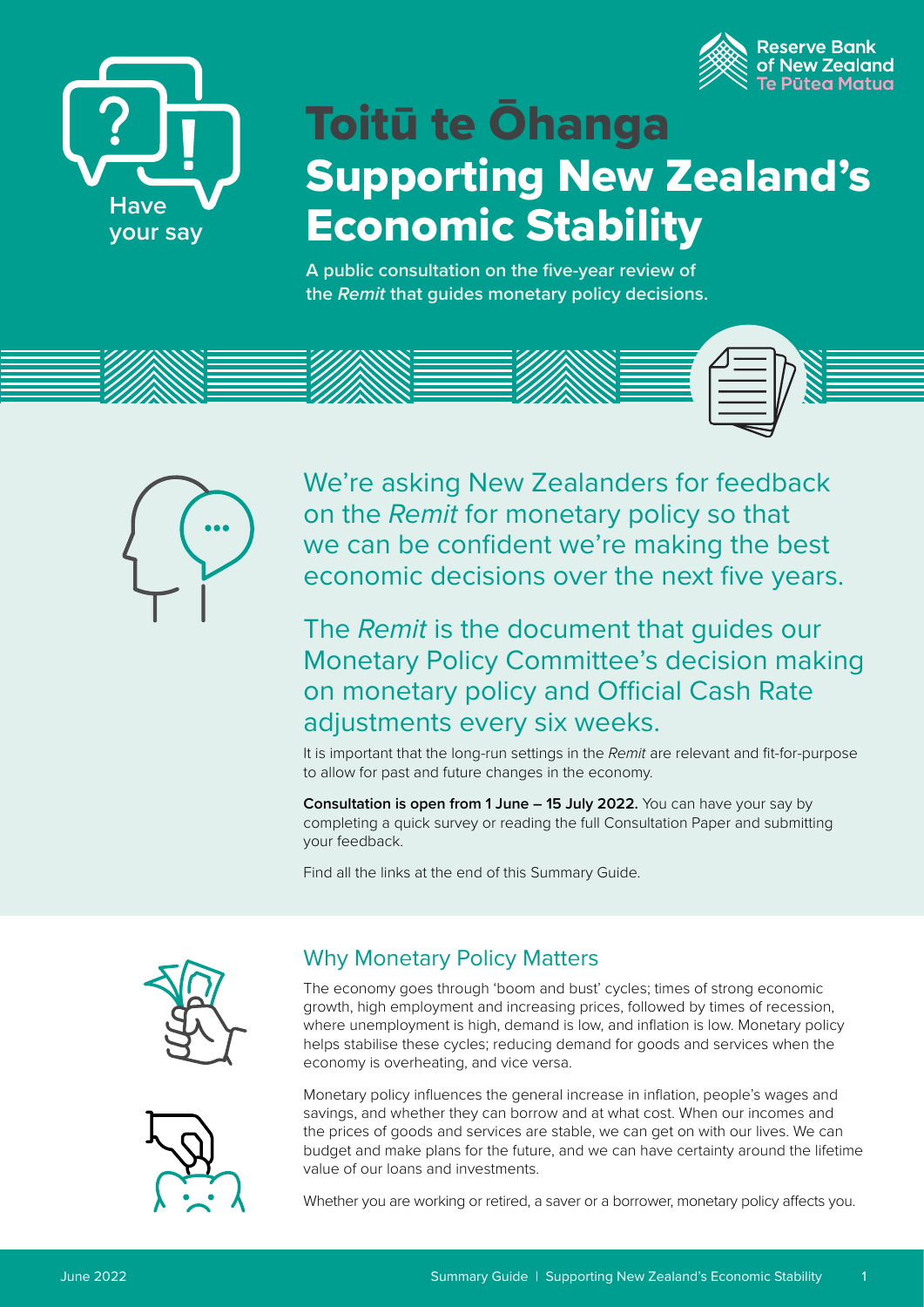



# Toitū te Ōhanga Supporting New Zealand's Economic Stability

**A public consultation on the five-year review of the** *Remit* **that guides monetary policy decisions.**





We're asking New Zealanders for feedback on the *Remit* for monetary policy so that we can be confident we're making the best economic decisions over the next five years.

## The *Remit* is the document that guides our Monetary Policy Committee's decision making on monetary policy and Official Cash Rate adjustments every six weeks.

It is important that the long-run settings in the *Remit* are relevant and fit-for-purpose to allow for past and future changes in the economy.

**Consultation is open from 1 June – 15 July 2022.** You can have your say by completing a quick survey or reading the full Consultation Paper and submitting your feedback.

Find all the links at the end of this Summary Guide.





## Why Monetary Policy Matters

The economy goes through 'boom and bust' cycles; times of strong economic growth, high employment and increasing prices, followed by times of recession, where unemployment is high, demand is low, and inflation is low. Monetary policy helps stabilise these cycles; reducing demand for goods and services when the economy is overheating, and vice versa.

Monetary policy influences the general increase in inflation, people's wages and savings, and whether they can borrow and at what cost. When our incomes and the prices of goods and services are stable, we can get on with our lives. We can budget and make plans for the future, and we can have certainty around the lifetime value of our loans and investments.

Whether you are working or retired, a saver or a borrower, monetary policy affects you.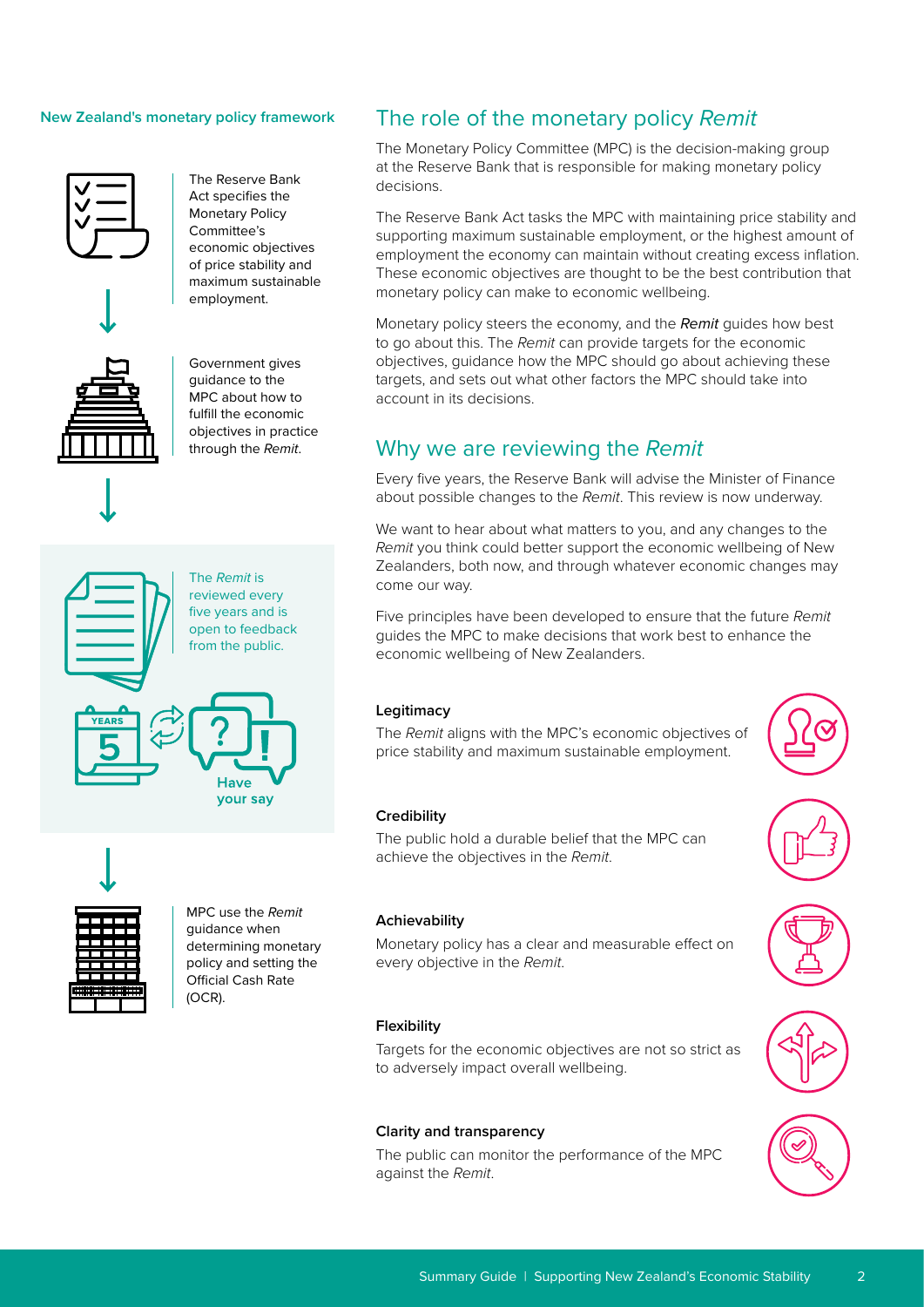#### **New Zealand's monetary policy framework**







Act specifies the Monetary Policy Committee's economic objectives of price stability and maximum sustainable employment.

The Reserve Bank









MPC use the *Remit* guidance when determining monetary policy and setting the Official Cash Rate (OCR).

## The role of the monetary policy *Remit*

The Monetary Policy Committee (MPC) is the decision-making group at the Reserve Bank that is responsible for making monetary policy decisions.

The Reserve Bank Act tasks the MPC with maintaining price stability and supporting maximum sustainable employment, or the highest amount of employment the economy can maintain without creating excess inflation. These economic objectives are thought to be the best contribution that monetary policy can make to economic wellbeing.

Monetary policy steers the economy, and the *Remit* guides how best to go about this. The *Remit* can provide targets for the economic objectives, guidance how the MPC should go about achieving these targets, and sets out what other factors the MPC should take into account in its decisions.

#### Why we are reviewing the *Remit*

Every five years, the Reserve Bank will advise the Minister of Finance about possible changes to the *Remit*. This review is now underway.

We want to hear about what matters to you, and any changes to the *Remit* you think could better support the economic wellbeing of New Zealanders, both now, and through whatever economic changes may come our way.

Five principles have been developed to ensure that the future *Remit* guides the MPC to make decisions that work best to enhance the economic wellbeing of New Zealanders.

#### **Legitimacy**

The *Remit* aligns with the MPC's economic objectives of price stability and maximum sustainable employment.

#### **Credibility**

The public hold a durable belief that the MPC can achieve the objectives in the *Remit*.



#### **Achievability**

Monetary policy has a clear and measurable effect on every objective in the *Remit*.

#### **Flexibility**

Targets for the economic objectives are not so strict as to adversely impact overall wellbeing.

#### **Clarity and transparency**

The public can monitor the performance of the MPC against the *Remit*.



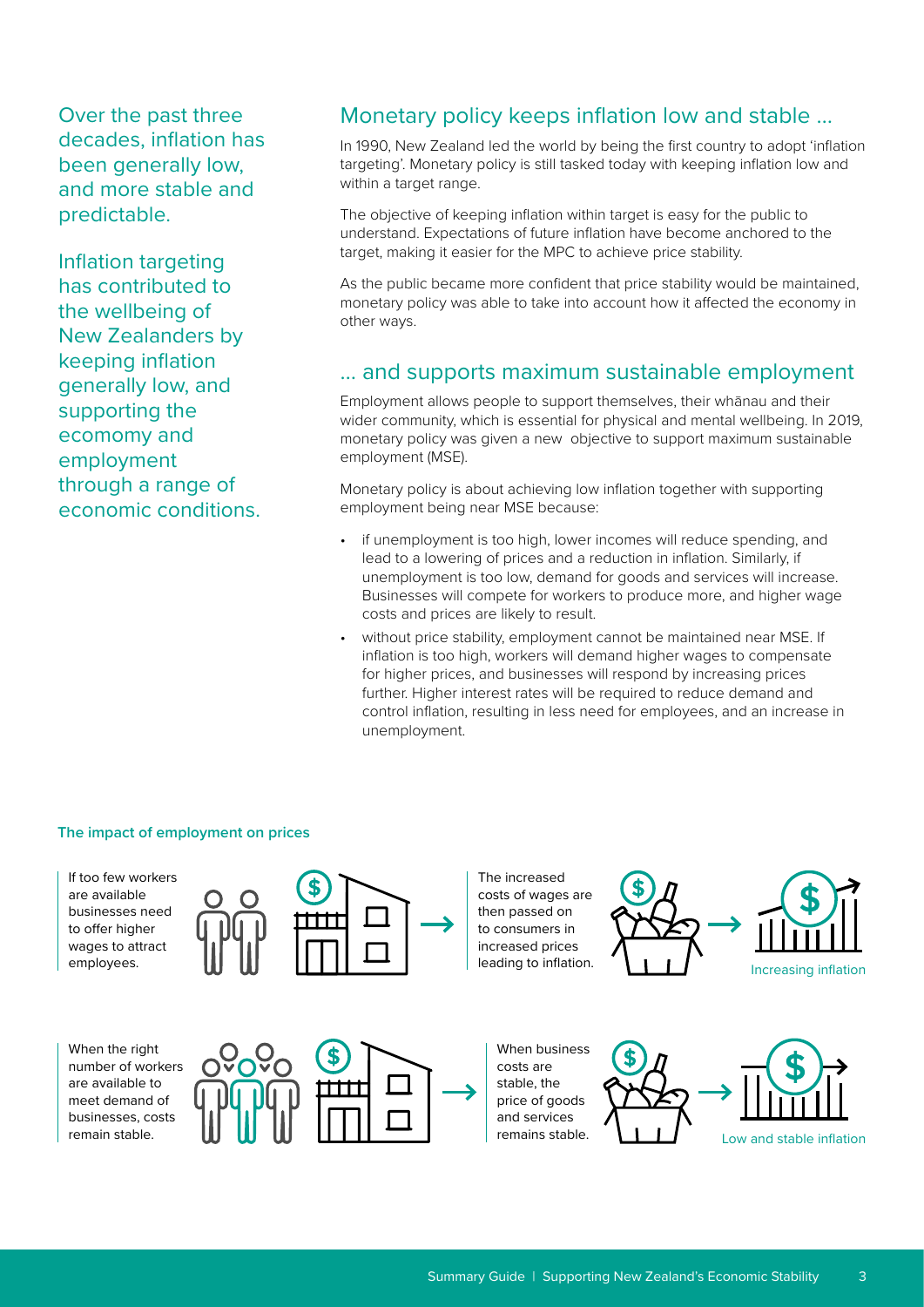Over the past three decades, inflation has been generally low, and more stable and predictable.

Inflation targeting has contributed to the wellbeing of New Zealanders by keeping inflation generally low, and supporting the ecomomy and employment through a range of economic conditions.

### Monetary policy keeps inflation low and stable …

In 1990, New Zealand led the world by being the first country to adopt 'inflation targeting'. Monetary policy is still tasked today with keeping inflation low and within a target range.

The objective of keeping inflation within target is easy for the public to understand. Expectations of future inflation have become anchored to the target, making it easier for the MPC to achieve price stability.

As the public became more confident that price stability would be maintained, monetary policy was able to take into account how it affected the economy in other ways.

#### … and supports maximum sustainable employment

Employment allows people to support themselves, their whānau and their wider community, which is essential for physical and mental wellbeing. In 2019, monetary policy was given a new objective to support maximum sustainable employment (MSE).

Monetary policy is about achieving low inflation together with supporting employment being near MSE because:

- if unemployment is too high, lower incomes will reduce spending, and lead to a lowering of prices and a reduction in inflation. Similarly, if unemployment is too low, demand for goods and services will increase. Businesses will compete for workers to produce more, and higher wage costs and prices are likely to result.
- without price stability, employment cannot be maintained near MSE. If inflation is too high, workers will demand higher wages to compensate for higher prices, and businesses will respond by increasing prices further. Higher interest rates will be required to reduce demand and control inflation, resulting in less need for employees, and an increase in unemployment.

#### **The impact of employment on prices**



When the right number of workers are available to meet demand of businesses, costs remain stable.



costs of wages are then passed on to consumers in increased prices leading to inflation.

The increased



When business costs are stable, the price of goods and services

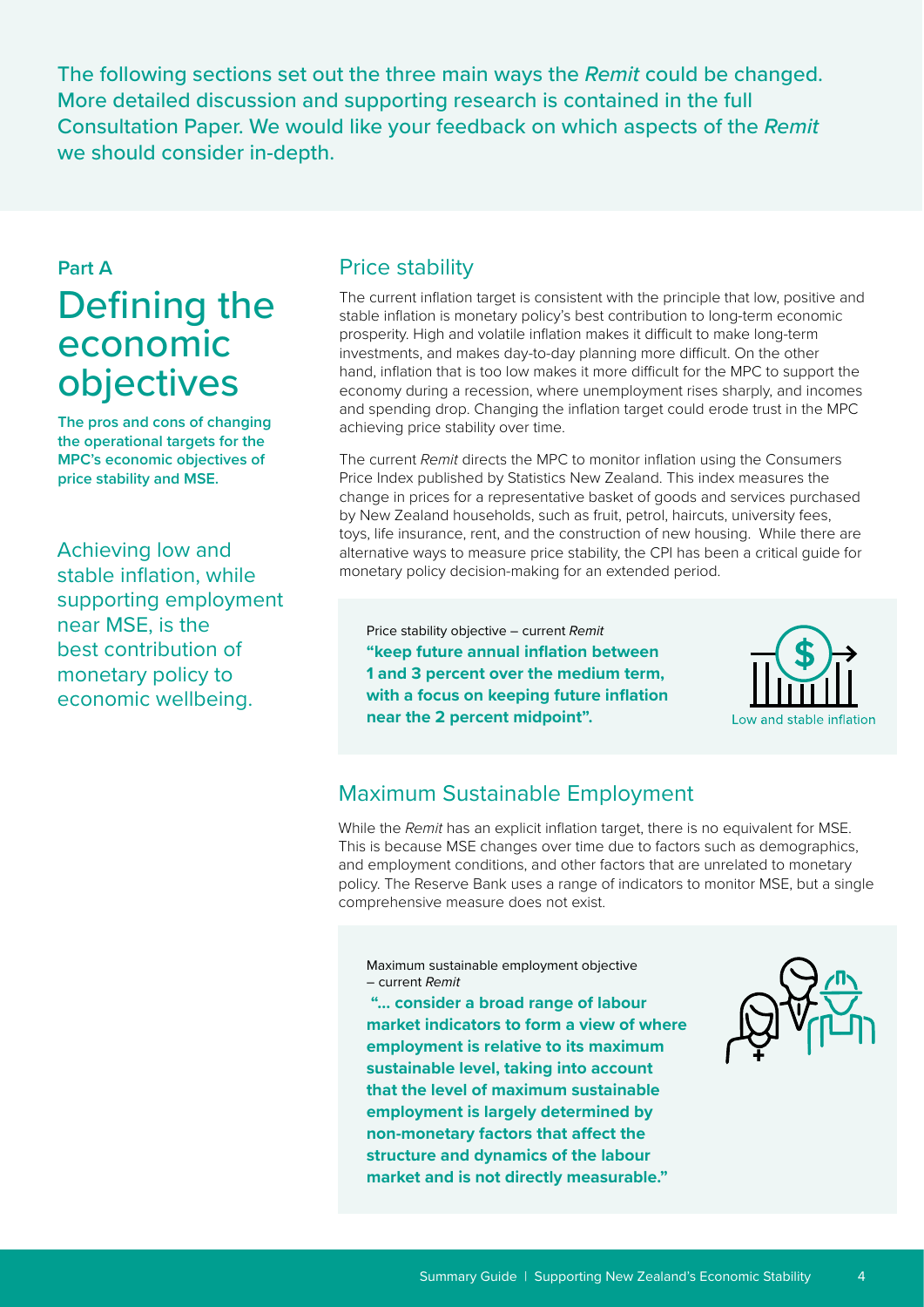The following sections set out the three main ways the *Remit* could be changed. More detailed discussion and supporting research is contained in the full Consultation Paper. We would like your feedback on which aspects of the *Remit*  we should consider in-depth.

## **Part A** Defining the economic objectives

**The pros and cons of changing the operational targets for the MPC's economic objectives of price stability and MSE.**

Achieving low and stable inflation, while supporting employment near MSE, is the best contribution of monetary policy to economic wellbeing.

### Price stability

The current inflation target is consistent with the principle that low, positive and stable inflation is monetary policy's best contribution to long-term economic prosperity. High and volatile inflation makes it difficult to make long-term investments, and makes day-to-day planning more difficult. On the other hand, inflation that is too low makes it more difficult for the MPC to support the economy during a recession, where unemployment rises sharply, and incomes and spending drop. Changing the inflation target could erode trust in the MPC achieving price stability over time.

The current *Remit* directs the MPC to monitor inflation using the Consumers Price Index published by Statistics New Zealand. This index measures the change in prices for a representative basket of goods and services purchased by New Zealand households, such as fruit, petrol, haircuts, university fees, toys, life insurance, rent, and the construction of new housing. While there are alternative ways to measure price stability, the CPI has been a critical guide for monetary policy decision-making for an extended period.

Price stability objective – current *Remit* **"keep future annual inflation between 1 and 3 percent over the medium term, with a focus on keeping future inflation near the 2 percent midpoint".**



## Maximum Sustainable Employment

While the *Remit* has an explicit inflation target, there is no equivalent for MSE. This is because MSE changes over time due to factors such as demographics, and employment conditions, and other factors that are unrelated to monetary policy. The Reserve Bank uses a range of indicators to monitor MSE, but a single comprehensive measure does not exist.

Maximum sustainable employment objective – current *Remit*

 **"… consider a broad range of labour market indicators to form a view of where employment is relative to its maximum sustainable level, taking into account that the level of maximum sustainable employment is largely determined by non-monetary factors that affect the structure and dynamics of the labour market and is not directly measurable."**

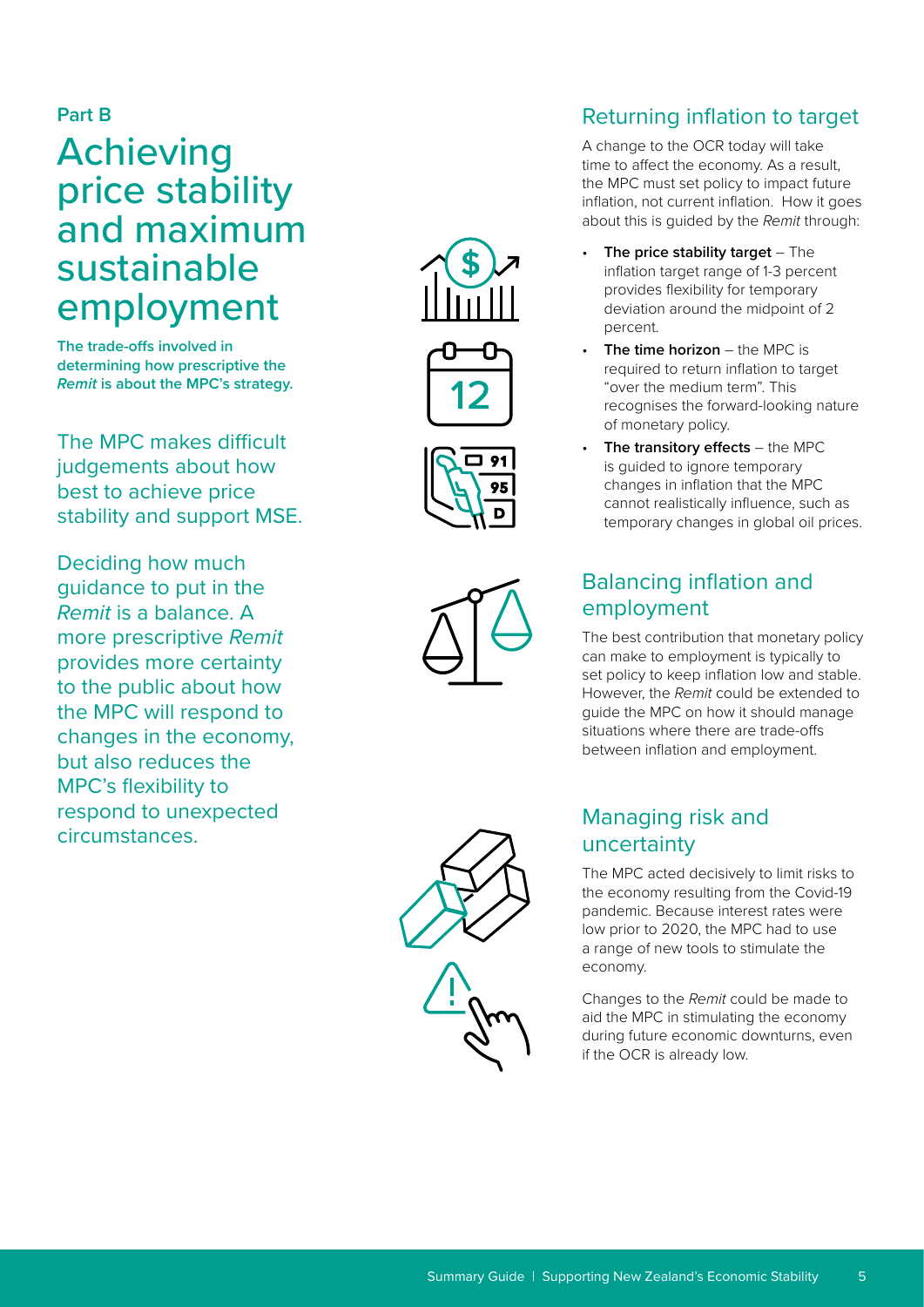#### **Part B**

## Achieving price stability and maximum sustainable employment

**The trade-offs involved in determining how prescriptive the**  *Remit* **is about the MPC's strategy.**

The MPC makes difficult judgements about how best to achieve price stability and support MSE.

Deciding how much guidance to put in the *Remit* is a balance. A more prescriptive *Remit* provides more certainty to the public about how the MPC will respond to changes in the economy, but also reduces the MPC's flexibility to respond to unexpected circumstances.







## Returning inflation to target

A change to the OCR today will take time to affect the economy. As a result, the MPC must set policy to impact future inflation, not current inflation. How it goes about this is guided by the *Remit* through:

- **The price stability target** The inflation target range of 1-3 percent provides flexibility for temporary deviation around the midpoint of 2 percent.
- **The time horizon** the MPC is required to return inflation to target "over the medium term". This recognises the forward-looking nature of monetary policy.
- **The transitory effects** the MPC is guided to ignore temporary changes in inflation that the MPC cannot realistically influence, such as temporary changes in global oil prices.

## Balancing inflation and employment

The best contribution that monetary policy can make to employment is typically to set policy to keep inflation low and stable. However, the *Remit* could be extended to guide the MPC on how it should manage situations where there are trade-offs between inflation and employment.

## Managing risk and uncertainty

The MPC acted decisively to limit risks to the economy resulting from the Covid-19 pandemic. Because interest rates were low prior to 2020, the MPC had to use a range of new tools to stimulate the economy.

Changes to the *Remit* could be made to aid the MPC in stimulating the economy during future economic downturns, even if the OCR is already low.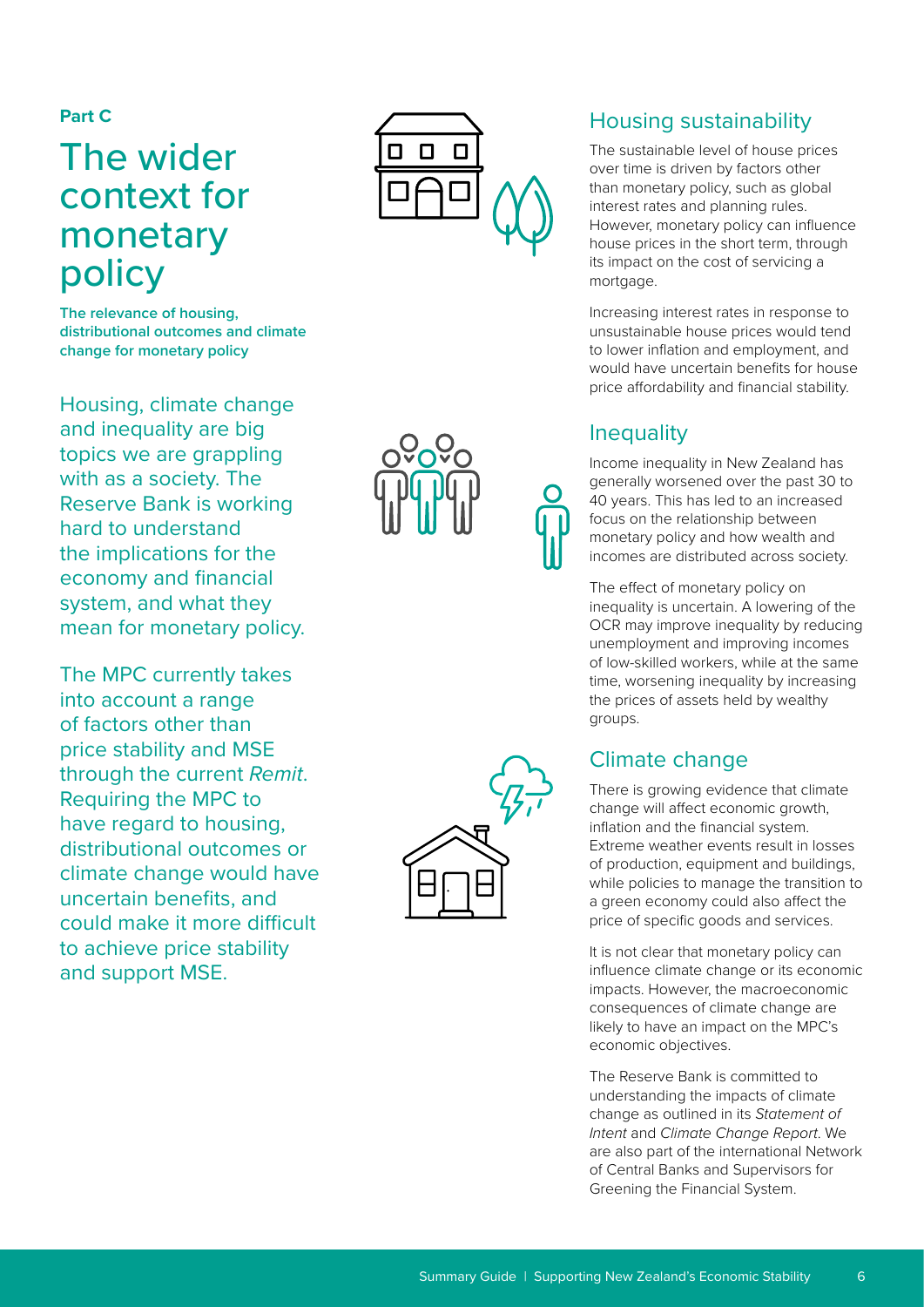#### **Part C**

## The wider context for monetary policy

**The relevance of housing, distributional outcomes and climate change for monetary policy**

Housing, climate change and inequality are big topics we are grappling with as a society. The Reserve Bank is working hard to understand the implications for the economy and financial system, and what they mean for monetary policy.

The MPC currently takes into account a range of factors other than price stability and MSE through the current *Remit*. Requiring the MPC to have regard to housing, distributional outcomes or climate change would have uncertain benefits, and could make it more difficult to achieve price stability and support MSE.





#### Housing sustainability

The sustainable level of house prices over time is driven by factors other than monetary policy, such as global interest rates and planning rules. However, monetary policy can influence house prices in the short term, through its impact on the cost of servicing a mortgage.

Increasing interest rates in response to unsustainable house prices would tend to lower inflation and employment, and would have uncertain benefits for house price affordability and financial stability.

#### **Inequality**

Income inequality in New Zealand has generally worsened over the past 30 to 40 years. This has led to an increased focus on the relationship between monetary policy and how wealth and incomes are distributed across society.

The effect of monetary policy on inequality is uncertain. A lowering of the OCR may improve inequality by reducing unemployment and improving incomes of low-skilled workers, while at the same time, worsening inequality by increasing the prices of assets held by wealthy groups.

## Climate change

There is growing evidence that climate change will affect economic growth, inflation and the financial system. Extreme weather events result in losses of production, equipment and buildings, while policies to manage the transition to a green economy could also affect the price of specific goods and services.

It is not clear that monetary policy can influence climate change or its economic impacts. However, the macroeconomic consequences of climate change are likely to have an impact on the MPC's economic objectives.

The Reserve Bank is committed to understanding the impacts of climate change as outlined in its *Statement of Intent* and *Climate Change Report*. We are also part of the international Network of Central Banks and Supervisors for Greening the Financial System.